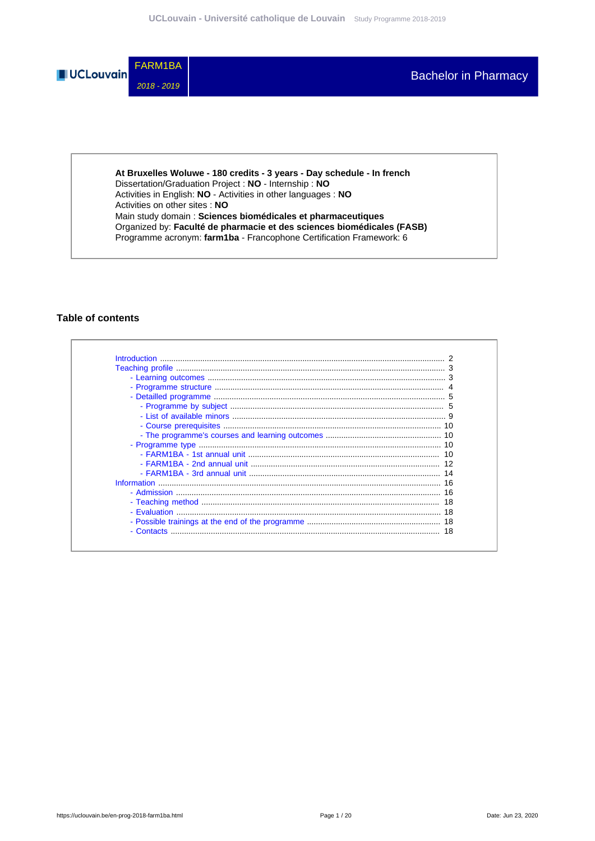

**At Bruxelles Woluwe - 180 credits - 3 years - Day schedule - In french** Dissertation/Graduation Project : **NO** - Internship : **NO** Activities in English: **NO** - Activities in other languages : **NO** Activities on other sites : **NO** Main study domain : **Sciences biomédicales et pharmaceutiques** Organized by: **Faculté de pharmacie et des sciences biomédicales (FASB)** Programme acronym: **farm1ba** - Francophone Certification Framework: 6

### **Table of contents**

| - Contacts |  |
|------------|--|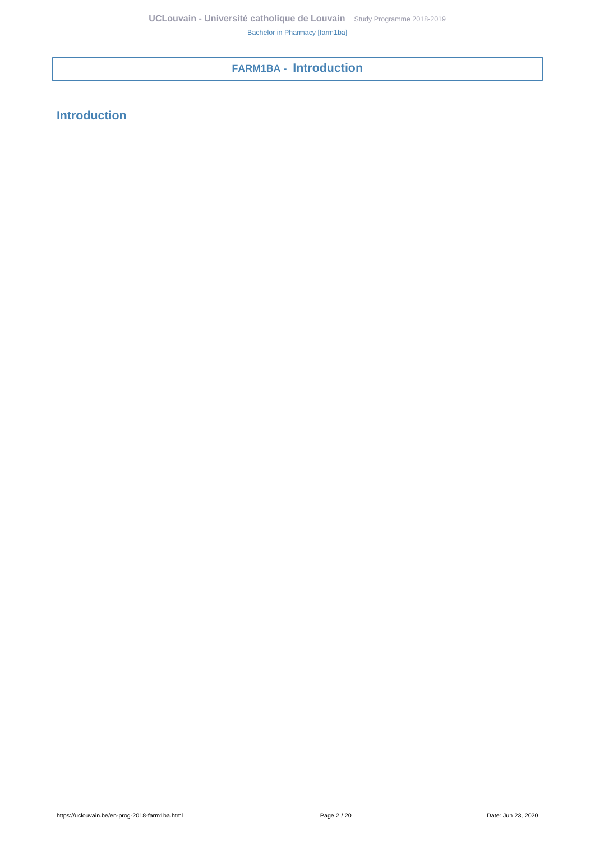# <span id="page-1-0"></span>**FARM1BA - Introduction**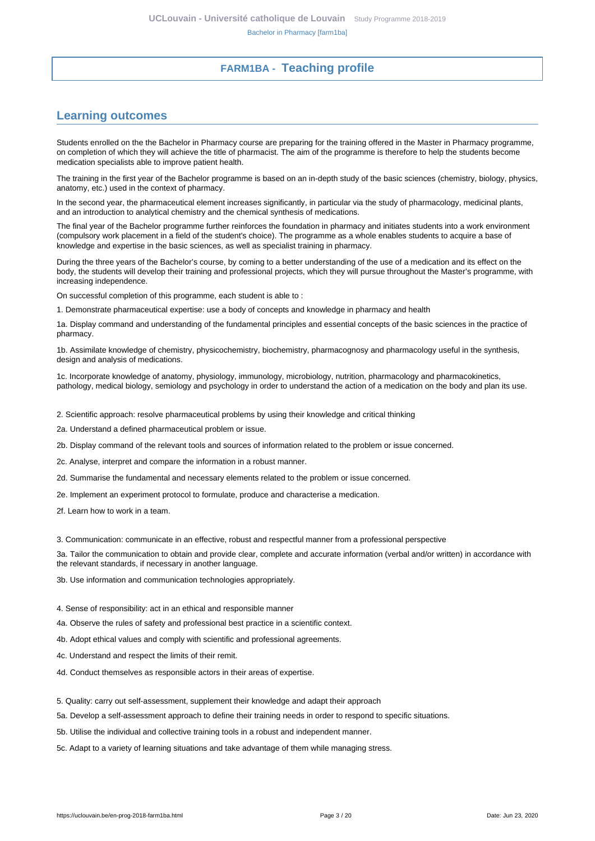# **FARM1BA - Teaching profile**

## <span id="page-2-1"></span><span id="page-2-0"></span>**Learning outcomes**

Students enrolled on the the Bachelor in Pharmacy course are preparing for the training offered in the Master in Pharmacy programme, on completion of which they will achieve the title of pharmacist. The aim of the programme is therefore to help the students become medication specialists able to improve patient health.

The training in the first year of the Bachelor programme is based on an in-depth study of the basic sciences (chemistry, biology, physics, anatomy, etc.) used in the context of pharmacy.

In the second year, the pharmaceutical element increases significantly, in particular via the study of pharmacology, medicinal plants, and an introduction to analytical chemistry and the chemical synthesis of medications.

The final year of the Bachelor programme further reinforces the foundation in pharmacy and initiates students into a work environment (compulsory work placement in a field of the student's choice). The programme as a whole enables students to acquire a base of knowledge and expertise in the basic sciences, as well as specialist training in pharmacy.

During the three years of the Bachelor's course, by coming to a better understanding of the use of a medication and its effect on the body, the students will develop their training and professional projects, which they will pursue throughout the Master's programme, with increasing independence.

On successful completion of this programme, each student is able to :

1. Demonstrate pharmaceutical expertise: use a body of concepts and knowledge in pharmacy and health

1a. Display command and understanding of the fundamental principles and essential concepts of the basic sciences in the practice of pharmacy.

1b. Assimilate knowledge of chemistry, physicochemistry, biochemistry, pharmacognosy and pharmacology useful in the synthesis, design and analysis of medications.

1c. Incorporate knowledge of anatomy, physiology, immunology, microbiology, nutrition, pharmacology and pharmacokinetics, pathology, medical biology, semiology and psychology in order to understand the action of a medication on the body and plan its use.

2. Scientific approach: resolve pharmaceutical problems by using their knowledge and critical thinking

2a. Understand a defined pharmaceutical problem or issue.

2b. Display command of the relevant tools and sources of information related to the problem or issue concerned.

2c. Analyse, interpret and compare the information in a robust manner.

2d. Summarise the fundamental and necessary elements related to the problem or issue concerned.

2e. Implement an experiment protocol to formulate, produce and characterise a medication.

2f. Learn how to work in a team.

3. Communication: communicate in an effective, robust and respectful manner from a professional perspective

3a. Tailor the communication to obtain and provide clear, complete and accurate information (verbal and/or written) in accordance with the relevant standards, if necessary in another language.

3b. Use information and communication technologies appropriately.

4. Sense of responsibility: act in an ethical and responsible manner

4a. Observe the rules of safety and professional best practice in a scientific context.

4b. Adopt ethical values and comply with scientific and professional agreements.

4c. Understand and respect the limits of their remit.

4d. Conduct themselves as responsible actors in their areas of expertise.

5. Quality: carry out self-assessment, supplement their knowledge and adapt their approach

5a. Develop a self-assessment approach to define their training needs in order to respond to specific situations.

5b. Utilise the individual and collective training tools in a robust and independent manner.

5c. Adapt to a variety of learning situations and take advantage of them while managing stress.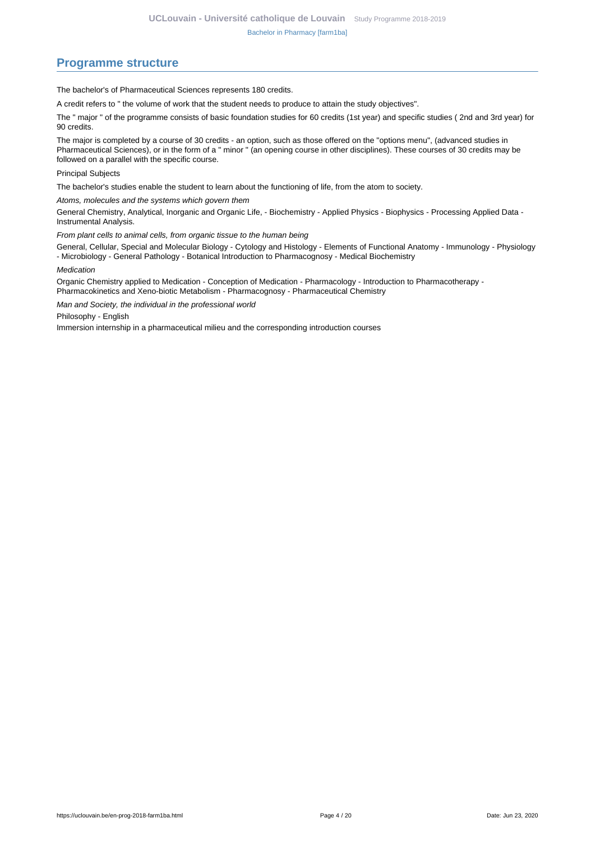## <span id="page-3-0"></span>**Programme structure**

The bachelor's of Pharmaceutical Sciences represents 180 credits.

A credit refers to " the volume of work that the student needs to produce to attain the study objectives".

The " major " of the programme consists of basic foundation studies for 60 credits (1st year) and specific studies ( 2nd and 3rd year) for 90 credits.

The major is completed by a course of 30 credits - an option, such as those offered on the "options menu", (advanced studies in Pharmaceutical Sciences), or in the form of a " minor " (an opening course in other disciplines). These courses of 30 credits may be followed on a parallel with the specific course.

Principal Subjects

The bachelor's studies enable the student to learn about the functioning of life, from the atom to society.

Atoms, molecules and the systems which govern them

General Chemistry, Analytical, Inorganic and Organic Life, - Biochemistry - Applied Physics - Biophysics - Processing Applied Data - Instrumental Analysis.

From plant cells to animal cells, from organic tissue to the human being

General, Cellular, Special and Molecular Biology - Cytology and Histology - Elements of Functional Anatomy - Immunology - Physiology - Microbiology - General Pathology - Botanical Introduction to Pharmacognosy - Medical Biochemistry

#### Medication

Organic Chemistry applied to Medication - Conception of Medication - Pharmacology - Introduction to Pharmacotherapy - Pharmacokinetics and Xeno-biotic Metabolism - Pharmacognosy - Pharmaceutical Chemistry

Man and Society, the individual in the professional world

Philosophy - English

Immersion internship in a pharmaceutical milieu and the corresponding introduction courses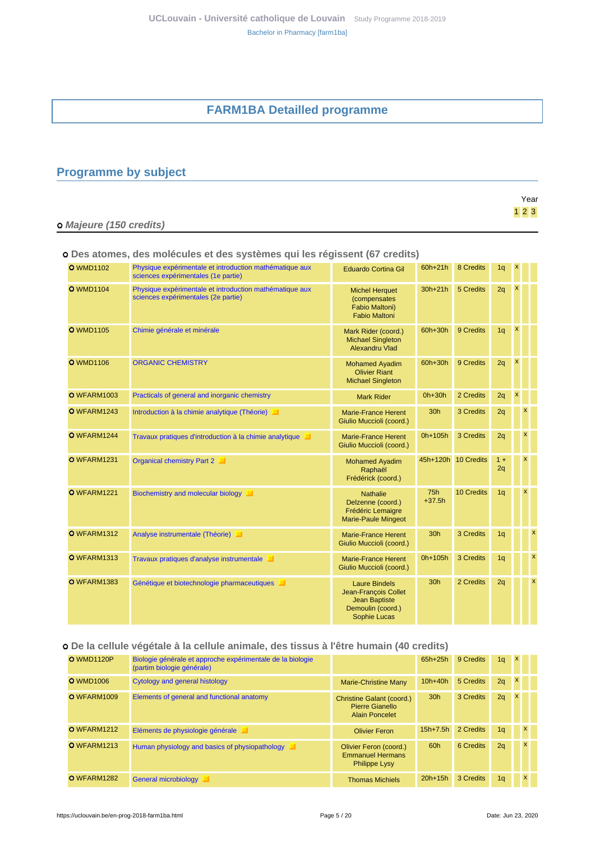# **FARM1BA Detailled programme**

# <span id="page-4-1"></span><span id="page-4-0"></span>**Programme by subject**

|                         | Year  |
|-------------------------|-------|
|                         | $123$ |
| o Majeure (150 credits) |       |

### **Des atomes, des molécules et des systèmes qui les régissent (67 credits)**

| <b>O</b> WMD1102 | Physique expérimentale et introduction mathématique aux<br>sciences expérimentales (1e partie) | <b>Eduardo Cortina Gil</b>                                                                                | 60h+21h         | 8 Credits           | 1 <sub>q</sub> | $\pmb{\mathsf{x}}$        |   |   |
|------------------|------------------------------------------------------------------------------------------------|-----------------------------------------------------------------------------------------------------------|-----------------|---------------------|----------------|---------------------------|---|---|
| <b>O</b> WMD1104 | Physique expérimentale et introduction mathématique aux<br>sciences expérimentales (2e partie) | <b>Michel Herquet</b><br>(compensates<br>Fabio Maltoni)<br><b>Fabio Maltoni</b>                           | $30h+21h$       | 5 Credits           | 2q             | $\boldsymbol{\mathsf{x}}$ |   |   |
| <b>O</b> WMD1105 | Chimie générale et minérale                                                                    | Mark Rider (coord.)<br><b>Michael Singleton</b><br>Alexandru Vlad                                         | 60h+30h         | 9 Credits           | 1 <sub>q</sub> | $\boldsymbol{\mathsf{x}}$ |   |   |
| <b>O</b> WMD1106 | <b>ORGANIC CHEMISTRY</b>                                                                       | <b>Mohamed Ayadim</b><br><b>Olivier Riant</b><br><b>Michael Singleton</b>                                 | 60h+30h         | 9 Credits           | 2q             | X                         |   |   |
| O WFARM1003      | Practicals of general and inorganic chemistry                                                  | <b>Mark Rider</b>                                                                                         | $Oh+30h$        | 2 Credits           | 2q             | $\boldsymbol{x}$          |   |   |
| O WFARM1243      | Introduction à la chimie analytique (Théorie)                                                  | <b>Marie-France Herent</b><br>Giulio Muccioli (coord.)                                                    | 30h             | 3 Credits           | 2q             |                           | x |   |
| O WFARM1244      | Travaux pratiques d'introduction à la chimie analytique<br>ш                                   | <b>Marie-France Herent</b><br>Giulio Muccioli (coord.)                                                    | 0h+105h         | 3 Credits           | 2q             |                           | x |   |
| O WFARM1231      | Organical chemistry Part 2                                                                     | <b>Mohamed Ayadim</b><br>Raphaël<br>Frédérick (coord.)                                                    |                 | 45h+120h 10 Credits | $1 +$<br>2q    |                           | x |   |
| O WFARM1221      | Biochemistry and molecular biology<br>ш                                                        | <b>Nathalie</b><br>Delzenne (coord.)<br><b>Frédéric Lemaigre</b><br><b>Marie-Paule Mingeot</b>            | 75h<br>$+37.5h$ | 10 Credits          | 1q             |                           | x |   |
| O WFARM1312      | Analyse instrumentale (Théorie)                                                                | <b>Marie-France Herent</b><br>Giulio Muccioli (coord.)                                                    | 30h             | 3 Credits           | 1 <sub>q</sub> |                           |   | X |
| O WFARM1313      | Travaux pratiques d'analyse instrumentale                                                      | <b>Marie-France Herent</b><br>Giulio Muccioli (coord.)                                                    | 0h+105h         | 3 Credits           | 1 <sub>q</sub> |                           |   | X |
| O WFARM1383      | Génétique et biotechnologie pharmaceutiques                                                    | <b>Laure Bindels</b><br>Jean-François Collet<br><b>Jean Baptiste</b><br>Demoulin (coord.)<br>Sophie Lucas | 30 <sub>h</sub> | 2 Credits           | 2q             |                           |   | X |

### **De la cellule végétale à la cellule animale, des tissus à l'être humain (40 credits)**

| <b>O</b> WMD1120P | Biologie générale et approche expérimentale de la biologie<br>(partim biologie générale) |                                                                           | $65h+25h$       | 9 Credits | 1 <sub>q</sub> | $\mathbf{x}$ |          |  |
|-------------------|------------------------------------------------------------------------------------------|---------------------------------------------------------------------------|-----------------|-----------|----------------|--------------|----------|--|
| <b>O</b> WMD1006  | Cytology and general histology                                                           | Marie-Christine Many                                                      | $10h + 40h$     | 5 Credits | 2q             | $\mathbf{x}$ |          |  |
| O WFARM1009       | Elements of general and functional anatomy                                               | Christine Galant (coord.)<br>Pierre Gianello<br><b>Alain Poncelet</b>     | 30 <sub>h</sub> | 3 Credits | 2q             | $\mathbf{x}$ |          |  |
| O WFARM1212       | Eléments de physiologie générale                                                         | <b>Olivier Feron</b>                                                      | $15h + 7.5h$    | 2 Credits | 1 <sub>a</sub> |              | x        |  |
| O WFARM1213       | Human physiology and basics of physiopathology                                           | Olivier Feron (coord.)<br><b>Emmanuel Hermans</b><br><b>Philippe Lysy</b> | 60h             | 6 Credits | 2q             |              | x        |  |
| O WFARM1282       | General microbiology                                                                     | <b>Thomas Michiels</b>                                                    | $20h+15h$       | 3 Credits | 1 <sub>q</sub> |              | <b>X</b> |  |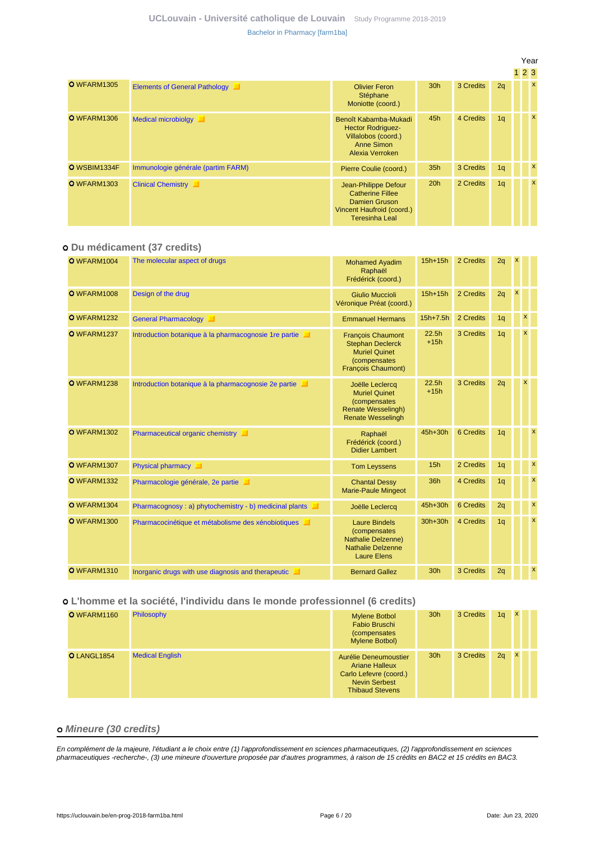|              |                                      |                                                                                                                        |                 |           |    | Year         |  |
|--------------|--------------------------------------|------------------------------------------------------------------------------------------------------------------------|-----------------|-----------|----|--------------|--|
|              |                                      |                                                                                                                        |                 |           |    | 123          |  |
| O WFARM1305  | <b>Elements of General Pathology</b> | <b>Olivier Feron</b><br>Stéphane<br>Moniotte (coord.)                                                                  | 30 <sub>h</sub> | 3 Credits | 2q | $\mathbf{x}$ |  |
| O WFARM1306  | <b>Medical microbiolgy</b><br>ш      | Benoît Kabamba-Mukadi<br><b>Hector Rodriguez-</b><br>Villalobos (coord.)<br><b>Anne Simon</b><br>Alexia Verroken       | 45h             | 4 Credits | 1q | X            |  |
| O WSBIM1334F | Immunologie générale (partim FARM)   | Pierre Coulie (coord.)                                                                                                 | 35h             | 3 Credits | 1q | X            |  |
| O WFARM1303  | <b>Clinical Chemistry</b>            | Jean-Philippe Defour<br><b>Catherine Fillee</b><br>Damien Gruson<br>Vincent Haufroid (coord.)<br><b>Teresinha Leal</b> | 20h             | 2 Credits | 1q | $\mathbf{x}$ |  |

### **Du médicament (37 credits)**

| O WFARM1004        | The molecular aspect of drugs                          | <b>Mohamed Ayadim</b><br>Raphaël<br>Frédérick (coord.)                                                                      | $15h+15h$                   | 2 Credits | 2q             | $\mathsf{x}$   |                           |  |
|--------------------|--------------------------------------------------------|-----------------------------------------------------------------------------------------------------------------------------|-----------------------------|-----------|----------------|----------------|---------------------------|--|
| O WFARM1008        | Design of the drug                                     | <b>Giulio Muccioli</b><br>Véronique Préat (coord.)                                                                          | $15h+15h$                   | 2 Credits | 2q             | $\pmb{\times}$ |                           |  |
| O WFARM1232        | <b>General Pharmacology</b><br>ш                       | <b>Emmanuel Hermans</b>                                                                                                     | $15h + 7.5h$                | 2 Credits | 1q             |                | x                         |  |
| O WFARM1237        | Introduction botanique à la pharmacognosie 1 re partie | <b>Francois Chaumont</b><br><b>Stephan Declerck</b><br><b>Muriel Quinet</b><br>(compensates<br><b>François Chaumont)</b>    | 22.5 <sub>h</sub><br>$+15h$ | 3 Credits | 1q             |                | X                         |  |
| O WFARM1238        | Introduction botanique à la pharmacognosie 2e partie   | Joëlle Leclercq<br><b>Muriel Quinet</b><br><i>(compensates)</i><br><b>Renate Wesselingh)</b><br><b>Renate Wesselingh</b>    | 22.5h<br>$+15h$             | 3 Credits | 2q             |                | x                         |  |
| O WFARM1302        | Pharmaceutical organic chemistry                       | Raphaël<br>Frédérick (coord.)<br><b>Didier Lambert</b>                                                                      | 45h+30h                     | 6 Credits | 1 <sub>q</sub> |                | $\boldsymbol{\mathsf{x}}$ |  |
| O WFARM1307        | Physical pharmacy                                      | <b>Tom Leyssens</b>                                                                                                         | 15h                         | 2 Credits | 1 <sub>q</sub> |                | $\boldsymbol{\mathsf{x}}$ |  |
| <b>O</b> WFARM1332 | Pharmacologie générale, 2e partie                      | <b>Chantal Dessy</b><br><b>Marie-Paule Mingeot</b>                                                                          | 36h                         | 4 Credits | 1 <sub>q</sub> |                | $\boldsymbol{\mathsf{x}}$ |  |
| O WFARM1304        | Pharmacognosy: a) phytochemistry - b) medicinal plants | Joëlle Leclercq                                                                                                             | 45h+30h                     | 6 Credits | 2q             |                | $\boldsymbol{\mathsf{x}}$ |  |
| O WFARM1300        | Pharmacocinétique et métabolisme des xénobiotiques     | <b>Laure Bindels</b><br><i>(compensates)</i><br><b>Nathalie Delzenne)</b><br><b>Nathalie Delzenne</b><br><b>Laure Elens</b> | 30h+30h                     | 4 Credits | 1q             |                | $\boldsymbol{\mathsf{x}}$ |  |
| <b>O</b> WFARM1310 | Inorganic drugs with use diagnosis and therapeutic     | <b>Bernard Gallez</b>                                                                                                       | 30h                         | 3 Credits | 2q             |                | $\mathsf{x}$              |  |

### **L'homme et la société, l'individu dans le monde professionnel (6 credits)**

| O WFARM1160 | Philosophy             | <b>Mylene Botbol</b><br>Fabio Bruschi<br><i>(compensates)</i><br>Mylene Botbol)                                            | 30 <sub>h</sub> | 3 Credits | 1 <sub>q</sub> | $\mathbf x$  |  |
|-------------|------------------------|----------------------------------------------------------------------------------------------------------------------------|-----------------|-----------|----------------|--------------|--|
| O LANGL1854 | <b>Medical English</b> | Aurélie Deneumoustier<br><b>Ariane Halleux</b><br>Carlo Lefevre (coord.)<br><b>Nevin Serbest</b><br><b>Thibaud Stevens</b> | 30 <sub>h</sub> | 3 Credits | 2q             | $\mathsf{x}$ |  |

### **Mineure (30 credits)**

En complément de la majeure, l'étudiant a le choix entre (1) l'approfondissement en sciences pharmaceutiques, (2) l'approfondissement en sciences pharmaceutiques -recherche-, (3) une mineure d'ouverture proposée par d'autres programmes, à raison de 15 crédits en BAC2 et 15 crédits en BAC3.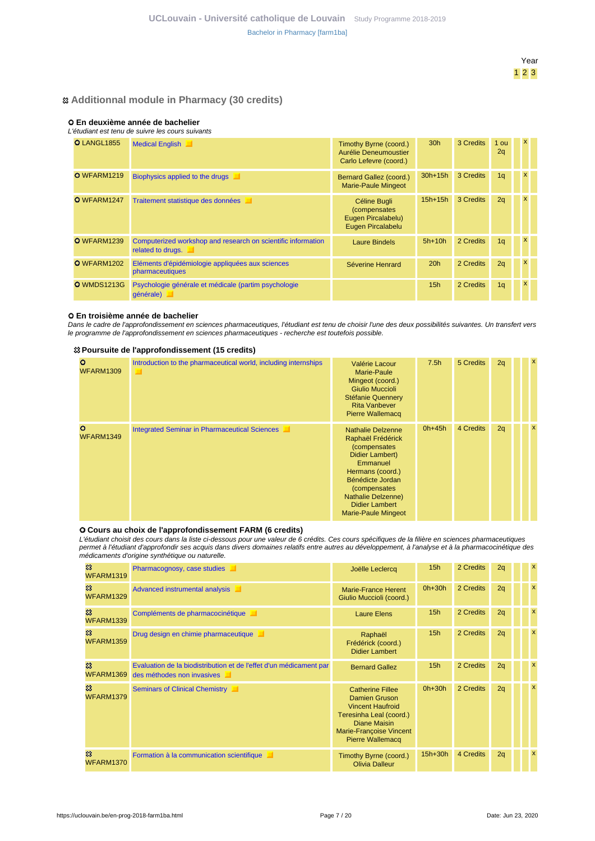### **Additionnal module in Pharmacy (30 credits)**

### **En deuxième année de bachelier**

#### L'étudiant est tenu de suivre les cours suivants

| <b>O</b> LANGL1855 | <b>Medical English</b>                                                            | Timothy Byrne (coord.)<br>Aurélie Deneumoustier<br>Carlo Lefevre (coord.) | 30 <sub>h</sub> | 3 Credits | 1 ou<br>2q     | X |  |
|--------------------|-----------------------------------------------------------------------------------|---------------------------------------------------------------------------|-----------------|-----------|----------------|---|--|
| O WFARM1219        | <b>Biophysics applied to the drugs</b>                                            | Bernard Gallez (coord.)<br><b>Marie-Paule Mingeot</b>                     | $30h+15h$       | 3 Credits | 1 <sub>q</sub> | x |  |
| O WFARM1247        | Traitement statistique des données                                                | Céline Bugli<br>(compensates<br>Eugen Pircalabelu)<br>Eugen Pircalabelu   | $15h+15h$       | 3 Credits | 2q             | x |  |
| O WFARM1239        | Computerized workshop and research on scientific information<br>related to drugs. | <b>Laure Bindels</b>                                                      | $5h+10h$        | 2 Credits | 1 <sub>q</sub> | x |  |
| O WFARM1202        | Eléments d'épidémiologie appliquées aux sciences<br>pharmaceutiques               | Séverine Henrard                                                          | 20h             | 2 Credits | 2q             |   |  |
| <b>O</b> WMDS1213G | Psychologie générale et médicale (partim psychologie<br>qénérale)                 |                                                                           | 15 <sub>h</sub> | 2 Credits | 1 <sub>q</sub> |   |  |

### **En troisième année de bachelier**

Dans le cadre de l'approfondissement en sciences pharmaceutiques, l'étudiant est tenu de choisir l'une des deux possibilités suivantes. Un transfert vers le programme de l'approfondissement en sciences pharmaceutiques - recherche est toutefois possible.

### **Poursuite de l'approfondissement (15 credits)**

| $\circ$<br><b>WFARM1309</b> | Introduction to the pharmaceutical world, including internships | Valérie Lacour<br>Marie-Paule<br>Mingeot (coord.)<br><b>Giulio Muccioli</b><br><b>Stéfanie Quennery</b><br><b>Rita Vanbever</b><br><b>Pierre Wallemacq</b>                                                                                              | 7.5 <sub>h</sub> | 5 Credits | 2q | $\boldsymbol{\mathsf{x}}$ |
|-----------------------------|-----------------------------------------------------------------|---------------------------------------------------------------------------------------------------------------------------------------------------------------------------------------------------------------------------------------------------------|------------------|-----------|----|---------------------------|
| $\circ$<br>WFARM1349        | <b>Integrated Seminar in Pharmaceutical Sciences</b>            | <b>Nathalie Delzenne</b><br>Raphaël Frédérick<br><i>(compensates</i><br>Didier Lambert)<br>Emmanuel<br>Hermans (coord.)<br>Bénédicte Jordan<br><i>(compensates)</i><br><b>Nathalie Delzenne)</b><br><b>Didier Lambert</b><br><b>Marie-Paule Mingeot</b> | $0h+45h$         | 4 Credits | 2q | $\boldsymbol{\mathsf{x}}$ |

### **Cours au choix de l'approfondissement FARM (6 credits)**

L'étudiant choisit des cours dans la liste ci-dessous pour une valeur de 6 crédits. Ces cours spécifiques de la filière en sciences pharmaceutiques permet à l'étudiant d'approfondir ses acquis dans divers domaines relatifs entre autres au développement, à l'analyse et à la pharmacocinétique des médicaments d'origine synthétique ou naturelle.

|                                                | calcamonto a ongino ovininciigac oa natarello.                                                   |                                                                                                                                                                                    |                 |           |    |                           |
|------------------------------------------------|--------------------------------------------------------------------------------------------------|------------------------------------------------------------------------------------------------------------------------------------------------------------------------------------|-----------------|-----------|----|---------------------------|
| జ<br>WFARM1319                                 | Pharmacognosy, case studies                                                                      | Joëlle Leclercq                                                                                                                                                                    | 15 <sub>h</sub> | 2 Credits | 2q | x                         |
| $\boldsymbol{\mathcal{Z}}$<br><b>WFARM1329</b> | Advanced instrumental analysis                                                                   | <b>Marie-France Herent</b><br>Giulio Muccioli (coord.)                                                                                                                             | $0h+30h$        | 2 Credits | 2q | $\boldsymbol{\mathsf{x}}$ |
| జ<br><b>WFARM1339</b>                          | Compléments de pharmacocinétique<br>ш                                                            | <b>Laure Elens</b>                                                                                                                                                                 | 15 <sub>h</sub> | 2 Credits | 2q | $\boldsymbol{\mathsf{x}}$ |
| జ<br><b>WFARM1359</b>                          | Drug design en chimie pharmaceutique                                                             | Raphaël<br>Frédérick (coord.)<br><b>Didier Lambert</b>                                                                                                                             | 15h             | 2 Credits | 2q | $\boldsymbol{\mathsf{x}}$ |
| జ<br>WFARM1369                                 | Evaluation de la biodistribution et de l'effet d'un médicament par<br>des méthodes non invasives | <b>Bernard Gallez</b>                                                                                                                                                              | 15 <sub>h</sub> | 2 Credits | 2q | x                         |
| జ<br>WFARM1379                                 | Seminars of Clinical Chemistry                                                                   | <b>Catherine Fillee</b><br><b>Damien Gruson</b><br><b>Vincent Haufroid</b><br>Teresinha Leal (coord.)<br><b>Diane Maisin</b><br>Marie-Françoise Vincent<br><b>Pierre Wallemacq</b> | $0h+30h$        | 2 Credits | 2q | x                         |
| జ<br>WFARM1370                                 | Formation à la communication scientifique                                                        | Timothy Byrne (coord.)<br><b>Olivia Dalleur</b>                                                                                                                                    | $15h+30h$       | 4 Credits | 2q | $\boldsymbol{\mathsf{x}}$ |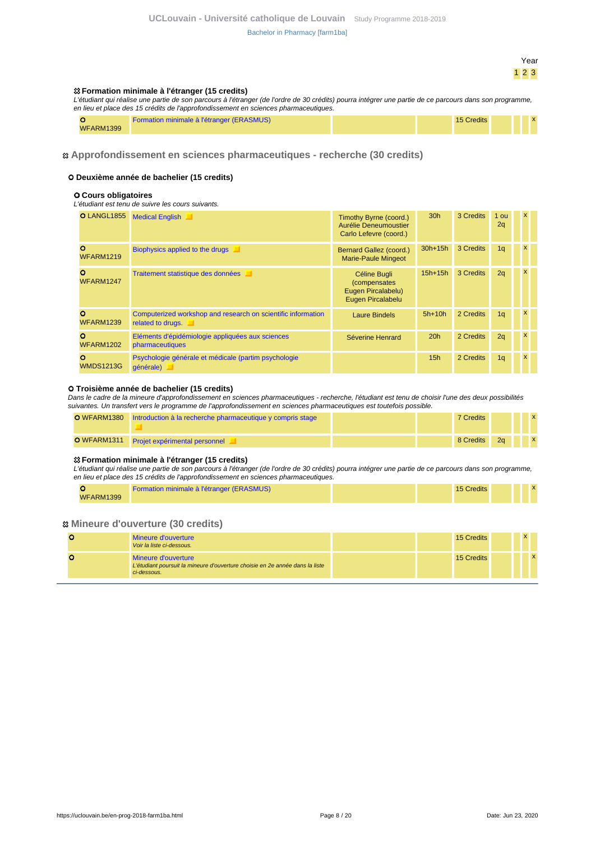#### **Formation minimale à l'étranger (15 credits)**

L'étudiant qui réalise une partie de son parcours à l'étranger (de l'ordre de 30 crédits) pourra intégrer une partie de ce parcours dans son programme, en lieu et place des 15 crédits de l'approfondissement en sciences pharmaceutiques.

|                  | Formation minimale à l'étranger (ERASMUS) | 15 Credits |  | $\lambda$ |
|------------------|-------------------------------------------|------------|--|-----------|
| <b>WFARM1399</b> |                                           |            |  |           |

### **Approfondissement en sciences pharmaceutiques - recherche (30 credits)**

#### **Deuxième année de bachelier (15 credits)**

#### **Cours obligatoires**

#### L'étudiant est tenu de suivre les cours suivants.

| O LANGL1855                      | <b>Medical English</b>                                                            | Timothy Byrne (coord.)<br>Aurélie Deneumoustier<br>Carlo Lefevre (coord.)       | 30 <sub>h</sub> | 3 Credits | 1 ou<br>2q     | $\mathsf{x}$ |  |
|----------------------------------|-----------------------------------------------------------------------------------|---------------------------------------------------------------------------------|-----------------|-----------|----------------|--------------|--|
| $\circ$<br><b>WFARM1219</b>      | Biophysics applied to the drugs<br>◼                                              | Bernard Gallez (coord.)<br><b>Marie-Paule Mingeot</b>                           | $30h+15h$       | 3 Credits | 1 <sub>q</sub> | $\mathsf{x}$ |  |
| $\circ$<br>WFARM1247             | Traitement statistique des données                                                | Céline Bugli<br><i>(compensates)</i><br>Eugen Pircalabelu)<br>Eugen Pircalabelu | $15h+15h$       | 3 Credits | 2q             | $\mathsf{x}$ |  |
| $\mathbf{o}$<br><b>WFARM1239</b> | Computerized workshop and research on scientific information<br>related to drugs. | <b>Laure Bindels</b>                                                            | $5h+10h$        | 2 Credits | 1 <sub>q</sub> | $\mathsf{x}$ |  |
| $\circ$<br><b>WFARM1202</b>      | Eléments d'épidémiologie appliquées aux sciences<br>pharmaceutiques               | Séverine Henrard                                                                | 20h             | 2 Credits | 2q             | $\mathsf{x}$ |  |
| $\mathbf{o}$<br><b>WMDS1213G</b> | Psychologie générale et médicale (partim psychologie<br>générale)                 |                                                                                 | 15 <sub>h</sub> | 2 Credits | 1 <sub>q</sub> | $\mathsf{x}$ |  |

#### **Troisième année de bachelier (15 credits)**

Dans le cadre de la mineure d'approfondissement en sciences pharmaceutiques - recherche, l'étudiant est tenu de choisir l'une des deux possibilités suivantes. Un transfert vers le programme de l'approfondissement en sciences pharmaceutiques est toutefois possible.

| <b>O</b> WFARM1380 Introduction à la recherche pharmaceutique y compris stage |  | <b>7 Credits</b>   |    |  |  |
|-------------------------------------------------------------------------------|--|--------------------|----|--|--|
| O WFARM1311 Projet expérimental personnel                                     |  | 8 Credits <b>8</b> | 2a |  |  |

#### **Formation minimale à l'étranger (15 credits)**

L'étudiant qui réalise une partie de son parcours à l'étranger (de l'ordre de 30 crédits) pourra intégrer une partie de ce parcours dans son programme, en lieu et place des 15 crédits de l'approfondissement en sciences pharmaceutiques.

|                  | Formation minimale à l'étranger (ERASMUS) | 15 Credits |  |
|------------------|-------------------------------------------|------------|--|
| <b>WFARM1399</b> |                                           |            |  |

#### **Mineure d'ouverture (30 credits)**

| Mineure d'ouverture<br>Voir la liste ci-dessous.                                                                   | 15 Credits |  |             |
|--------------------------------------------------------------------------------------------------------------------|------------|--|-------------|
| Mineure d'ouverture<br>L'étudiant poursuit la mineure d'ouverture choisie en 2e année dans la liste<br>ci-dessous. | 15 Credits |  | $\mathbf x$ |

Year 1 2 3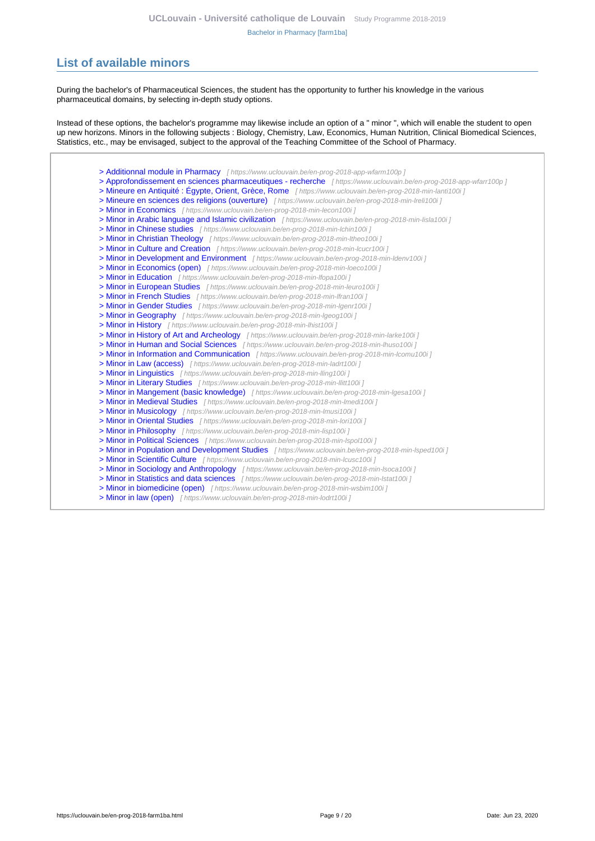# <span id="page-8-0"></span>**List of available minors**

During the bachelor's of Pharmaceutical Sciences, the student has the opportunity to further his knowledge in the various pharmaceutical domains, by selecting in-depth study options.

Instead of these options, the bachelor's programme may likewise include an option of a " minor ", which will enable the student to open up new horizons. Minors in the following subjects : Biology, Chemistry, Law, Economics, Human Nutrition, Clinical Biomedical Sciences, Statistics, etc., may be envisaged, subject to the approval of the Teaching Committee of the School of Pharmacy.

[> Additionnal module in Pharmacy](https://www.uclouvain.be/en-prog-2018-app-wfarm100p) [ https://www.uclouvain.be/en-prog-2018-app-wfarm100p ] [> Approfondissement en sciences pharmaceutiques - recherche](https://www.uclouvain.be/en-prog-2018-app-wfarr100p) [ https://www.uclouvain.be/en-prog-2018-app-wfarr100p ] [> Mineure en Antiquité : Égypte, Orient, Grèce, Rome](https://www.uclouvain.be/en-prog-2018-min-lanti100i) [ https://www.uclouvain.be/en-prog-2018-min-lanti100i ] [> Mineure en sciences des religions \(ouverture\)](https://www.uclouvain.be/en-prog-2018-min-lreli100i) [https://www.uclouvain.be/en-prog-2018-min-Ireli100i] [> Minor in Economics](https://www.uclouvain.be/en-prog-2018-min-lecon100i) [ https://www.uclouvain.be/en-prog-2018-min-lecon100i ] [> Minor in Arabic language and Islamic civilization](https://www.uclouvain.be/en-prog-2018-min-lisla100i) [ https://www.uclouvain.be/en-prog-2018-min-lisla100i ] [> Minor in Chinese studies](https://www.uclouvain.be/en-prog-2018-min-lchin100i) [ https://www.uclouvain.be/en-prog-2018-min-lchin100i ] [> Minor in Christian Theology](https://www.uclouvain.be/en-prog-2018-min-ltheo100i) [ https://www.uclouvain.be/en-prog-2018-min-Itheo100i ] [> Minor in Culture and Creation](https://www.uclouvain.be/en-prog-2018-min-lcucr100i) [ https://www.uclouvain.be/en-prog-2018-min-lcucr100i ] [> Minor in Development and Environment](https://www.uclouvain.be/en-prog-2018-min-ldenv100i) [ https://www.uclouvain.be/en-prog-2018-min-Idenv100i ] [> Minor in Economics \(open\)](https://www.uclouvain.be/en-prog-2018-min-loeco100i) [ https://www.uclouvain.be/en-prog-2018-min-loeco100i ] [> Minor in Education](https://www.uclouvain.be/en-prog-2018-min-lfopa100i) [ https://www.uclouvain.be/en-prog-2018-min-Ifopa100i ] [> Minor in European Studies](https://www.uclouvain.be/en-prog-2018-min-leuro100i) [ https://www.uclouvain.be/en-prog-2018-min-leuro100i ] [> Minor in French Studies](https://www.uclouvain.be/en-prog-2018-min-lfran100i) [ https://www.uclouvain.be/en-prog-2018-min-Ifran100i ] [> Minor in Gender Studies](https://www.uclouvain.be/en-prog-2018-min-lgenr100i) [ https://www.uclouvain.be/en-prog-2018-min-lgenr100i ] [> Minor in Geography](https://www.uclouvain.be/en-prog-2018-min-lgeog100i) [ https://www.uclouvain.be/en-prog-2018-min-Igeog100i ] [> Minor in History](https://www.uclouvain.be/en-prog-2018-min-lhist100i) [ https://www.uclouvain.be/en-prog-2018-min-lhist100i ] [> Minor in History of Art and Archeology](https://www.uclouvain.be/en-prog-2018-min-larke100i) [ https://www.uclouvain.be/en-prog-2018-min-larke100i ] [> Minor in Human and Social Sciences](https://www.uclouvain.be/en-prog-2018-min-lhuso100i) [ https://www.uclouvain.be/en-prog-2018-min-lhuso100i ] [> Minor in Information and Communication](https://www.uclouvain.be/en-prog-2018-min-lcomu100i) [ https://www.uclouvain.be/en-prog-2018-min-lcomu100i ] [> Minor in Law \(access\)](https://www.uclouvain.be/en-prog-2018-min-ladrt100i) [ https://www.uclouvain.be/en-prog-2018-min-ladrt100i ] [> Minor in Linguistics](https://www.uclouvain.be/en-prog-2018-min-lling100i) [ https://www.uclouvain.be/en-prog-2018-min-Iling100i ] [> Minor in Literary Studies](https://www.uclouvain.be/en-prog-2018-min-llitt100i) [ https://www.uclouvain.be/en-prog-2018-min-llitt100i ] [> Minor in Mangement \(basic knowledge\)](https://www.uclouvain.be/en-prog-2018-min-lgesa100i) [ https://www.uclouvain.be/en-prog-2018-min-lgesa100i ] [> Minor in Medieval Studies](https://www.uclouvain.be/en-prog-2018-min-lmedi100i) [ https://www.uclouvain.be/en-prog-2018-min-lmedi100i ] [> Minor in Musicology](https://www.uclouvain.be/en-prog-2018-min-lmusi100i) [ https://www.uclouvain.be/en-prog-2018-min-lmusi100i ] [> Minor in Oriental Studies](https://www.uclouvain.be/en-prog-2018-min-lori100i) [ https://www.uclouvain.be/en-prog-2018-min-lori100i ] [> Minor in Philosophy](https://www.uclouvain.be/en-prog-2018-min-lisp100i) [ https://www.uclouvain.be/en-prog-2018-min-lisp100i ] [> Minor in Political Sciences](https://www.uclouvain.be/en-prog-2018-min-lspol100i) [ https://www.uclouvain.be/en-prog-2018-min-lspol100i ] [> Minor in Population and Development Studies](https://www.uclouvain.be/en-prog-2018-min-lsped100i) [ https://www.uclouvain.be/en-prog-2018-min-lsped100i ] [> Minor in Scientific Culture](https://www.uclouvain.be/en-prog-2018-min-lcusc100i) [ https://www.uclouvain.be/en-prog-2018-min-lcusc100i ] [> Minor in Sociology and Anthropology](https://www.uclouvain.be/en-prog-2018-min-lsoca100i) [ https://www.uclouvain.be/en-prog-2018-min-Isoca100i ] [> Minor in Statistics and data sciences](https://www.uclouvain.be/en-prog-2018-min-lstat100i) [ https://www.uclouvain.be/en-prog-2018-min-Istat100i ] [> Minor in biomedicine \(open\)](https://www.uclouvain.be/en-prog-2018-min-wsbim100i) [ https://www.uclouvain.be/en-prog-2018-min-wsbim100i ]

[> Minor in law \(open\)](https://www.uclouvain.be/en-prog-2018-min-lodrt100i) [ https://www.uclouvain.be/en-prog-2018-min-lodrt100i ]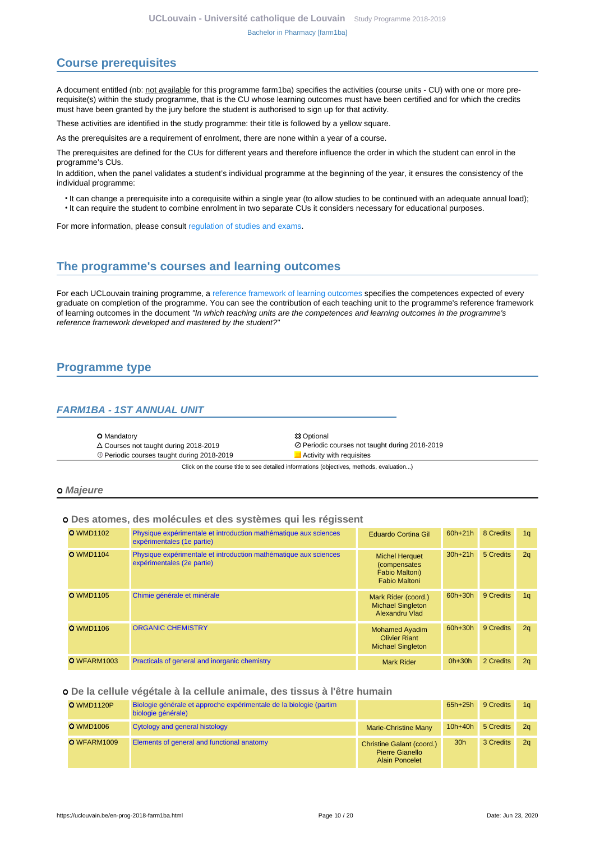# <span id="page-9-0"></span>**Course prerequisites**

A document entitled (nb: not available for this programme farm1ba) specifies the activities (course units - CU) with one or more prerequisite(s) within the study programme, that is the CU whose learning outcomes must have been certified and for which the credits must have been granted by the jury before the student is authorised to sign up for that activity.

These activities are identified in the study programme: their title is followed by a yellow square.

As the prerequisites are a requirement of enrolment, there are none within a year of a course.

The prerequisites are defined for the CUs for different years and therefore influence the order in which the student can enrol in the programme's CUs.

In addition, when the panel validates a student's individual programme at the beginning of the year, it ensures the consistency of the individual programme:

- It can change a prerequisite into a corequisite within a single year (to allow studies to be continued with an adequate annual load);
- It can require the student to combine enrolment in two separate CUs it considers necessary for educational purposes.

For more information, please consult [regulation of studies and exams.](https://uclouvain.be/en-enseignement-reglements.html)

## <span id="page-9-1"></span>**The programme's courses and learning outcomes**

For each UCLouvain training programme, a [reference framework of learning outcomes](https://uclouvain.be/en-prog-2018-farm1ba-competences_et_acquis.html) specifies the competences expected of every graduate on completion of the programme. You can see the contribution of each teaching unit to the programme's reference framework of learning outcomes in the document "In which teaching units are the competences and learning outcomes in the programme's reference framework developed and mastered by the student?"

# <span id="page-9-2"></span>**Programme type**

### <span id="page-9-3"></span>**FARM1BA - 1ST ANNUAL UNIT**

| <b>O</b> Mandatory                                | <b>83 Optional</b>                             |
|---------------------------------------------------|------------------------------------------------|
| $\triangle$ Courses not taught during 2018-2019   | ⊘ Periodic courses not taught during 2018-2019 |
| $\oplus$ Periodic courses taught during 2018-2019 | Activity with requisites                       |

Click on the course title to see detailed informations (objectives, methods, evaluation...)

#### **Majeure**

### **Des atomes, des molécules et des systèmes qui les régissent**

| <b>O</b> WMD1102   | Physique expérimentale et introduction mathématique aux sciences<br>expérimentales (1e partie) | Eduardo Cortina Gil                                                                     | $60h + 21h$ | 8 Credits | 1q |
|--------------------|------------------------------------------------------------------------------------------------|-----------------------------------------------------------------------------------------|-------------|-----------|----|
| <b>O</b> WMD1104   | Physique expérimentale et introduction mathématique aux sciences<br>expérimentales (2e partie) | <b>Michel Herquet</b><br><i>(compensates)</i><br>Fabio Maltoni)<br><b>Fabio Maltoni</b> | $30h+21h$   | 5 Credits | 2q |
| <b>O</b> WMD1105   | Chimie générale et minérale                                                                    | Mark Rider (coord.)<br><b>Michael Singleton</b><br>Alexandru Vlad                       | $60h + 30h$ | 9 Credits | 1q |
| <b>O</b> WMD1106   | <b>ORGANIC CHEMISTRY</b>                                                                       | <b>Mohamed Ayadim</b><br><b>Olivier Riant</b><br><b>Michael Singleton</b>               | 60h+30h     | 9 Credits | 2q |
| <b>O</b> WFARM1003 | Practicals of general and inorganic chemistry                                                  | <b>Mark Rider</b>                                                                       | $0h+30h$    | 2 Credits | 2q |

#### **De la cellule végétale à la cellule animale, des tissus à l'être humain**

| <b>O</b> WMD1120P | Biologie générale et approche expérimentale de la biologie (partim<br>biologie générale) |                                                                              | $65h+25h$       | 9 Credits | 1a             |
|-------------------|------------------------------------------------------------------------------------------|------------------------------------------------------------------------------|-----------------|-----------|----------------|
| <b>O</b> WMD1006  | Cytology and general histology                                                           | <b>Marie-Christine Many</b>                                                  | $10h+40h$       | 5 Credits | 2a             |
| O WFARM1009       | Elements of general and functional anatomy                                               | <b>Christine Galant (coord.)</b><br>Pierre Gianello<br><b>Alain Poncelet</b> | 30 <sub>h</sub> | 3 Credits | 2 <sub>a</sub> |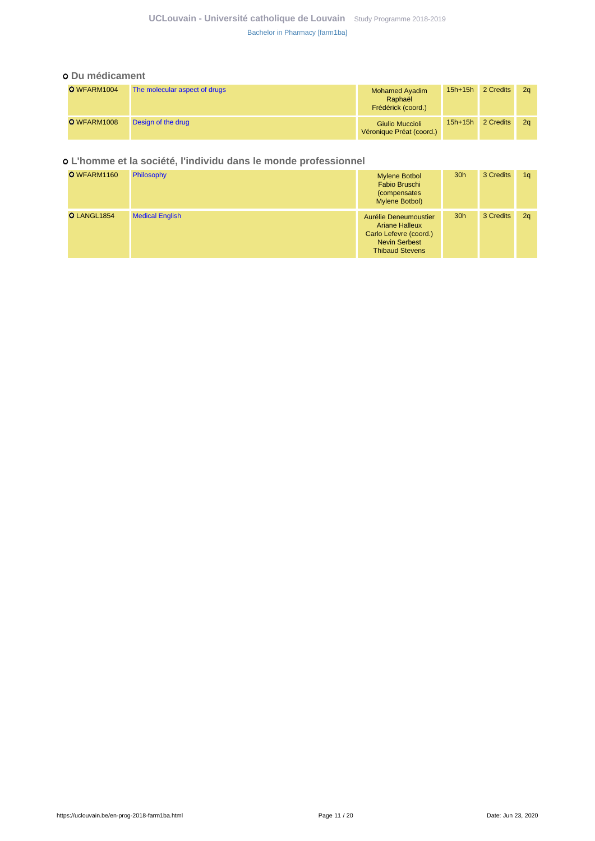### **UCLouvain - Université catholique de Louvain** [Study Programme 2018-2019](https://uclouvain.be/en/study-programme) [Bachelor in Pharmacy \[farm1ba\]](https://uclouvain.be/en-prog-2018-farm1ba.html)

### **Du médicament**

| O WFARM1004 | The molecular aspect of drugs | <b>Mohamed Ayadim</b><br>Raphaël<br>Frédérick (coord.) | $15h+15h$ | 2 Credits | 2 <sub>a</sub> |
|-------------|-------------------------------|--------------------------------------------------------|-----------|-----------|----------------|
| O WFARM1008 | Design of the drug            | Giulio Muccioli<br>Véronique Préat (coord.)            | $15h+15h$ | 2 Credits | 2 <sub>a</sub> |

### **L'homme et la société, l'individu dans le monde professionnel**

| O WFARM1160 | <b>Philosophy</b>      | <b>Mylene Botbol</b><br>Fabio Bruschi<br><i>(compensates)</i><br>Mylene Botbol)                                            | 30 <sub>h</sub> | 3 Credits | 1 <sub>q</sub> |
|-------------|------------------------|----------------------------------------------------------------------------------------------------------------------------|-----------------|-----------|----------------|
| O LANGL1854 | <b>Medical English</b> | Aurélie Deneumoustier<br><b>Ariane Halleux</b><br>Carlo Lefevre (coord.)<br><b>Nevin Serbest</b><br><b>Thibaud Stevens</b> | 30 <sub>h</sub> | 3 Credits | 2q             |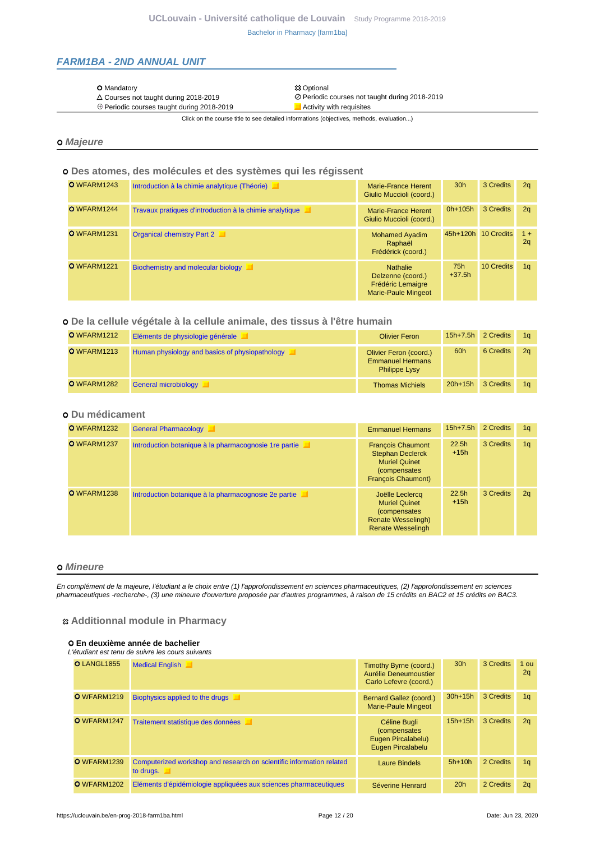### <span id="page-11-0"></span>**FARM1BA - 2ND ANNUAL UNIT**

#### O Mandatory 23 Optional 23 Optional 23 Optional 23 Optional 23 Optional 23 Optional 23 Optional 23 Optional 20

- 
- $\triangle$  Courses not taught during 2018-2019<br>  $\oplus$  Periodic courses taught during 2018-2019<br>  $\blacksquare$ Activity with requisites  $\oplus$  Periodic courses taught during 2018-2019

Click on the course title to see detailed informations (objectives, methods, evaluation...)

### **Majeure**

### **Des atomes, des molécules et des systèmes qui les régissent**

| O WFARM1243 | Introduction à la chimie analytique (Théorie)           | Marie-France Herent<br>Giulio Muccioli (coord.)                                         | 30 <sub>h</sub> | 3 Credits  | 2 <sub>a</sub> |
|-------------|---------------------------------------------------------|-----------------------------------------------------------------------------------------|-----------------|------------|----------------|
| O WFARM1244 | Travaux pratiques d'introduction à la chimie analytique | Marie-France Herent<br>Giulio Muccioli (coord.)                                         | $0h+105h$       | 3 Credits  | 2q             |
| O WFARM1231 | <b>Organical chemistry Part 2</b>                       | <b>Mohamed Ayadim</b><br>Raphaël<br>Frédérick (coord.)                                  | $45h+120h$      | 10 Credits | $1 +$<br>2q    |
| O WFARM1221 | Biochemistry and molecular biology                      | <b>Nathalie</b><br>Delzenne (coord.)<br><b>Frédéric Lemaigre</b><br>Marie-Paule Mingeot | 75h<br>$+37.5h$ | 10 Credits | 1 <sub>q</sub> |

### **De la cellule végétale à la cellule animale, des tissus à l'être humain**

| O WFARM1212 | Eléments de physiologie générale               | <b>Olivier Feron</b>                                                      | 15h+7.5h 2 Credits |           | 1α             |
|-------------|------------------------------------------------|---------------------------------------------------------------------------|--------------------|-----------|----------------|
| O WFARM1213 | Human physiology and basics of physiopathology | Olivier Feron (coord.)<br><b>Emmanuel Hermans</b><br><b>Philippe Lysy</b> | 60h                | 6 Credits | 2 <sub>a</sub> |
| O WFARM1282 | General microbiology                           | <b>Thomas Michiels</b>                                                    | $20h+15h$          | 3 Credits | 1 <sub>a</sub> |

### **Du médicament**

| O WFARM1232 | <b>General Pharmacology</b>                            | <b>Emmanuel Hermans</b>                                                                                                   | $15h+7.5h$      | 2 Credits | 1 <sub>q</sub> |
|-------------|--------------------------------------------------------|---------------------------------------------------------------------------------------------------------------------------|-----------------|-----------|----------------|
| O WFARM1237 | Introduction botanique à la pharmacognosie 1 re partie | <b>François Chaumont</b><br><b>Stephan Declerck</b><br><b>Muriel Quinet</b><br>(compensates)<br><b>François Chaumont)</b> | 22.5h<br>$+15h$ | 3 Credits | 1 <sub>q</sub> |
| O WFARM1238 | Introduction botanique à la pharmacognosie 2e partie   | Joëlle Leclercq<br><b>Muriel Quinet</b><br>(compensates)<br><b>Renate Wesselingh)</b><br><b>Renate Wesselingh</b>         | 22.5h<br>$+15h$ | 3 Credits | 2q             |

#### **Mineure**

En complément de la majeure, l'étudiant a le choix entre (1) l'approfondissement en sciences pharmaceutiques, (2) l'approfondissement en sciences pharmaceutiques -recherche-, (3) une mineure d'ouverture proposée par d'autres programmes, à raison de 15 crédits en BAC2 et 15 crédits en BAC3.

### **Additionnal module in Pharmacy**

#### **En deuxième année de bachelier**

#### L'étudiant est tenu de suivre les cours suivants

| <b>O</b> LANGL1855 | <b>Medical English</b>                                                            | Timothy Byrne (coord.)<br>Aurélie Deneumoustier<br>Carlo Lefevre (coord.) | 30 <sub>h</sub> | 3 Credits | $1$ ou<br>2q   |
|--------------------|-----------------------------------------------------------------------------------|---------------------------------------------------------------------------|-----------------|-----------|----------------|
| O WFARM1219        | Biophysics applied to the drugs                                                   | Bernard Gallez (coord.)<br><b>Marie-Paule Mingeot</b>                     | $30h+15h$       | 3 Credits | 1 <sub>q</sub> |
| O WFARM1247        | Traitement statistique des données                                                | Céline Bugli<br>(compensates)<br>Eugen Pircalabelu)<br>Eugen Pircalabelu  | $15h + 15h$     | 3 Credits | 2q             |
| O WFARM1239        | Computerized workshop and research on scientific information related<br>to drugs. | <b>Laure Bindels</b>                                                      | $5h+10h$        | 2 Credits | 1 <sub>q</sub> |
| O WFARM1202        | Eléments d'épidémiologie appliquées aux sciences pharmaceutiques                  | Séverine Henrard                                                          | 20h             | 2 Credits | 2q             |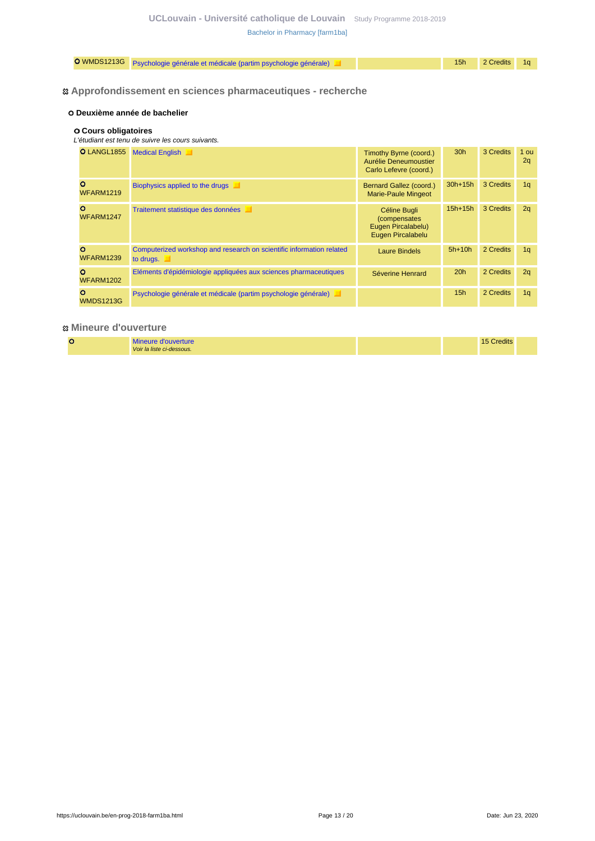|  | O WMDS1213G Psychologie générale et médicale (partim psychologie générale) |  |  | 15h 2 Credits 1q |  |
|--|----------------------------------------------------------------------------|--|--|------------------|--|
|--|----------------------------------------------------------------------------|--|--|------------------|--|

### **Approfondissement en sciences pharmaceutiques - recherche**

### **Deuxième année de bachelier**

#### **Cours obligatoires**

#### L'étudiant est tenu de suivre les cours suivants.

| <b>O</b> LANGL1855           | <b>Medical English</b>                                                            | Timothy Byrne (coord.)<br>Aurélie Deneumoustier<br>Carlo Lefevre (coord.) | 30 <sub>h</sub> | 3 Credits | 1 ou<br>2q     |
|------------------------------|-----------------------------------------------------------------------------------|---------------------------------------------------------------------------|-----------------|-----------|----------------|
| $\Omega$<br><b>WFARM1219</b> | Biophysics applied to the drugs                                                   | Bernard Gallez (coord.)<br><b>Marie-Paule Mingeot</b>                     | $30h+15h$       | 3 Credits | 1 <sub>q</sub> |
| $\circ$<br>WFARM1247         | Traitement statistique des données                                                | Céline Bugli<br>(compensates)<br>Eugen Pircalabelu)<br>Eugen Pircalabelu  | $15h+15h$       | 3 Credits | 2q             |
| $\circ$<br><b>WFARM1239</b>  | Computerized workshop and research on scientific information related<br>to drugs. | <b>Laure Bindels</b>                                                      | $5h+10h$        | 2 Credits | 1 <sub>q</sub> |
| $\circ$<br><b>WFARM1202</b>  | Eléments d'épidémiologie appliquées aux sciences pharmaceutiques                  | Séverine Henrard                                                          | 20h             | 2 Credits | 2q             |
| $\circ$<br><b>WMDS1213G</b>  | Psychologie générale et médicale (partim psychologie générale)                    |                                                                           | 15 <sub>h</sub> | 2 Credits | 1 <sub>q</sub> |

### **Mineure d'ouverture**

|  | Mineure d'ouverture       |  | 15 Credits |  |
|--|---------------------------|--|------------|--|
|  | Voir la liste ci-dessous. |  |            |  |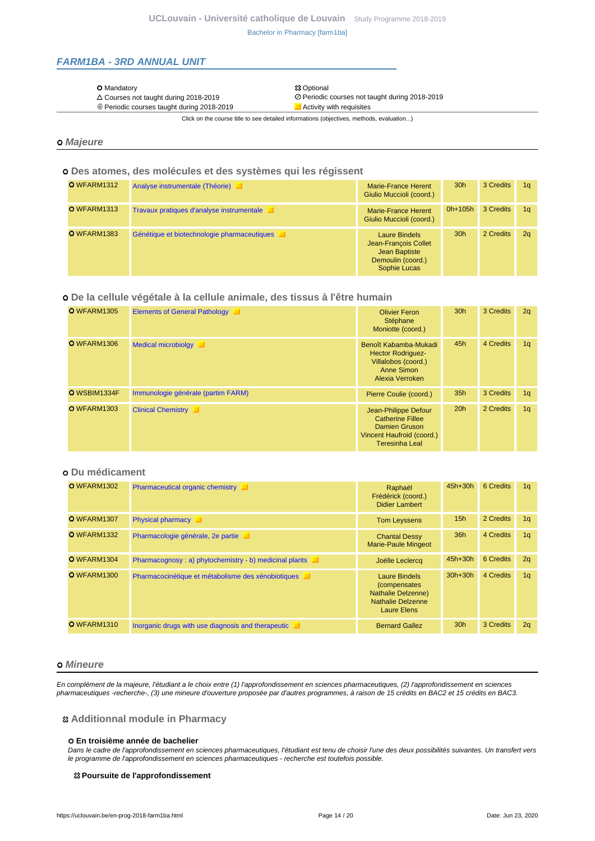### <span id="page-13-0"></span>**FARM1BA - 3RD ANNUAL UNIT**

#### O Mandatory 23 Optional 23 Optional 23 Optional 23 Optional 23 Optional 23 Optional 23 Optional 23 Optional 20

- 
- $\triangle$  Courses not taught during 2018-2019<br>  $\oplus$  Periodic courses taught during 2018-2019<br>  $\blacksquare$  Activity with requisites  $\oplus$  Periodic courses taught during 2018-2019

Click on the course title to see detailed informations (objectives, methods, evaluation...)

### **Majeure**

### **Des atomes, des molécules et des systèmes qui les régissent**

| O WFARM1312 | Analyse instrumentale (Théorie)             | Marie-France Herent<br>Giulio Muccioli (coord.)                                                    | 30 <sub>h</sub> | 3 Credits | 1a             |
|-------------|---------------------------------------------|----------------------------------------------------------------------------------------------------|-----------------|-----------|----------------|
| O WFARM1313 | Travaux pratiques d'analyse instrumentale   | Marie-France Herent<br>Giulio Muccioli (coord.)                                                    | $0h+105h$       | 3 Credits | 1 <sub>a</sub> |
| O WFARM1383 | Génétique et biotechnologie pharmaceutiques | <b>Laure Bindels</b><br>Jean-François Collet<br>Jean Baptiste<br>Demoulin (coord.)<br>Sophie Lucas | 30 <sub>h</sub> | 2 Credits | 2 <sub>a</sub> |

### **De la cellule végétale à la cellule animale, des tissus à l'être humain**

| O WFARM1305  | <b>Elements of General Pathology</b> | <b>Olivier Feron</b><br>Stéphane<br>Moniotte (coord.)                                                                         | 30 <sub>h</sub> | 3 Credits | 2q             |
|--------------|--------------------------------------|-------------------------------------------------------------------------------------------------------------------------------|-----------------|-----------|----------------|
| O WFARM1306  | <b>Medical microbiolgy</b>           | Benoît Kabamba-Mukadi<br><b>Hector Rodriguez-</b><br>Villalobos (coord.)<br>Anne Simon<br>Alexia Verroken                     | 45h             | 4 Credits | 1 <sub>q</sub> |
| O WSBIM1334F | Immunologie générale (partim FARM)   | Pierre Coulie (coord.)                                                                                                        | 35 <sub>h</sub> | 3 Credits | 1 <sub>q</sub> |
| O WFARM1303  | <b>Clinical Chemistry</b>            | Jean-Philippe Defour<br><b>Catherine Fillee</b><br><b>Damien Gruson</b><br>Vincent Haufroid (coord.)<br><b>Teresinha Leal</b> | 20h             | 2 Credits | 1 <sub>q</sub> |

### **Du médicament**

| O WFARM1302 | <b>Pharmaceutical organic chemistry</b>                | Raphaël<br>Frédérick (coord.)<br><b>Didier Lambert</b>                                                 | $45h+30h$       | 6 Credits | 1 <sub>q</sub> |
|-------------|--------------------------------------------------------|--------------------------------------------------------------------------------------------------------|-----------------|-----------|----------------|
| O WFARM1307 | <b>Physical pharmacy</b>                               | <b>Tom Leyssens</b>                                                                                    | 15h             | 2 Credits | 1 <sub>q</sub> |
| O WFARM1332 | Pharmacologie générale, 2e partie                      | <b>Chantal Dessy</b><br><b>Marie-Paule Mingeot</b>                                                     | 36h             | 4 Credits | 1q             |
| O WFARM1304 | Pharmacognosy: a) phytochemistry - b) medicinal plants | Joëlle Leclercq                                                                                        | $45h+30h$       | 6 Credits | 2q             |
| O WFARM1300 | Pharmacocinétique et métabolisme des xénobiotiques     | Laure Bindels<br>(compensates)<br><b>Nathalie Delzenne)</b><br><b>Nathalie Delzenne</b><br>Laure Elens | $30h+30h$       | 4 Credits | 1 <sub>q</sub> |
| O WFARM1310 | Inorganic drugs with use diagnosis and therapeutic     | <b>Bernard Gallez</b>                                                                                  | 30 <sub>h</sub> | 3 Credits | 2q             |

#### **Mineure**

En complément de la majeure, l'étudiant a le choix entre (1) l'approfondissement en sciences pharmaceutiques, (2) l'approfondissement en sciences pharmaceutiques -recherche-, (3) une mineure d'ouverture proposée par d'autres programmes, à raison de 15 crédits en BAC2 et 15 crédits en BAC3.

#### **Additionnal module in Pharmacy**

#### **En troisième année de bachelier**

Dans le cadre de l'approfondissement en sciences pharmaceutiques, l'étudiant est tenu de choisir l'une des deux possibilités suivantes. Un transfert vers le programme de l'approfondissement en sciences pharmaceutiques - recherche est toutefois possible.

#### **Poursuite de l'approfondissement**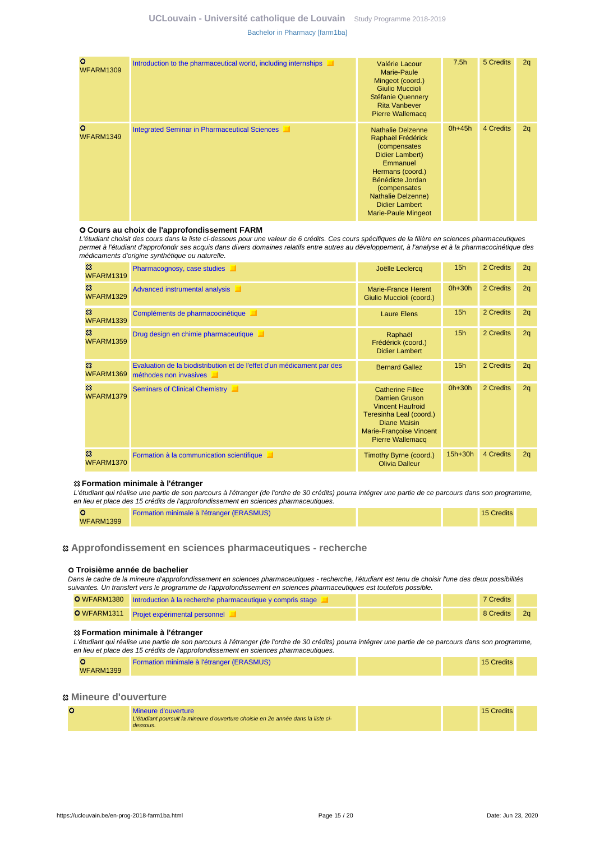### **UCLouvain - Université catholique de Louvain** [Study Programme 2018-2019](https://uclouvain.be/en/study-programme) [Bachelor in Pharmacy \[farm1ba\]](https://uclouvain.be/en-prog-2018-farm1ba.html)

| $\circ$<br><b>WFARM1309</b> | Introduction to the pharmaceutical world, including internships | Valérie Lacour<br><b>Marie-Paule</b><br>Mingeot (coord.)<br><b>Giulio Muccioli</b><br>Stéfanie Quennery<br><b>Rita Vanbever</b><br><b>Pierre Wallemacq</b>                                                                               | 7.5h     | 5 Credits | 2q |
|-----------------------------|-----------------------------------------------------------------|------------------------------------------------------------------------------------------------------------------------------------------------------------------------------------------------------------------------------------------|----------|-----------|----|
| $\circ$<br>WFARM1349        | <b>Integrated Seminar in Pharmaceutical Sciences</b>            | <b>Nathalie Delzenne</b><br>Raphaël Frédérick<br>(compensates<br>Didier Lambert)<br>Emmanuel<br>Hermans (coord.)<br>Bénédicte Jordan<br>(compensates<br><b>Nathalie Delzenne)</b><br><b>Didier Lambert</b><br><b>Marie-Paule Mingeot</b> | $0h+45h$ | 4 Credits | 2q |

#### **Cours au choix de l'approfondissement FARM**

L'étudiant choisit des cours dans la liste ci-dessous pour une valeur de 6 crédits. Ces cours spécifiques de la filière en sciences pharmaceutiques permet à l'étudiant d'approfondir ses acquis dans divers domaines relatifs entre autres au développement, à l'analyse et à la pharmacocinétique des médicaments d'origine synthétique ou naturelle.

| జ<br><b>WFARM1319</b>                   | Pharmacognosy, case studies                                                                      | Joëlle Leclercq                                                                                                                                                                    | 15 <sub>h</sub> | 2 Credits | 2q |
|-----------------------------------------|--------------------------------------------------------------------------------------------------|------------------------------------------------------------------------------------------------------------------------------------------------------------------------------------|-----------------|-----------|----|
| జ<br><b>WFARM1329</b>                   | Advanced instrumental analysis                                                                   | <b>Marie-France Herent</b><br>Giulio Muccioli (coord.)                                                                                                                             | $0h+30h$        | 2 Credits | 2q |
| జ<br><b>WFARM1339</b>                   | Compléments de pharmacocinétique                                                                 | <b>Laure Elens</b>                                                                                                                                                                 | 15 <sub>h</sub> | 2 Credits | 2q |
| జ<br><b>WFARM1359</b>                   | Drug design en chimie pharmaceutique                                                             | Raphaël<br>Frédérick (coord.)<br><b>Didier Lambert</b>                                                                                                                             | 15 <sub>h</sub> | 2 Credits | 2q |
| $\boldsymbol{\mathcal{Z}}$<br>WFARM1369 | Evaluation de la biodistribution et de l'effet d'un médicament par des<br>méthodes non invasives | <b>Bernard Gallez</b>                                                                                                                                                              | 15 <sub>h</sub> | 2 Credits | 2q |
| జ<br>WFARM1379                          | Seminars of Clinical Chemistry                                                                   | <b>Catherine Fillee</b><br><b>Damien Gruson</b><br><b>Vincent Haufroid</b><br>Teresinha Leal (coord.)<br>Diane Maisin<br><b>Marie-Françoise Vincent</b><br><b>Pierre Wallemacq</b> | $0h+30h$        | 2 Credits | 2q |
| జ<br>WFARM1370                          | Formation à la communication scientifique                                                        | Timothy Byrne (coord.)<br><b>Olivia Dalleur</b>                                                                                                                                    | $15h+30h$       | 4 Credits | 2q |

#### **Formation minimale à l'étranger**

L'étudiant qui réalise une partie de son parcours à l'étranger (de l'ordre de 30 crédits) pourra intégrer une partie de ce parcours dans son programme, en lieu et place des 15 crédits de l'approfondissement en sciences pharmaceutiques.

|                  | Formation minimale à l'étranger (ERASMUS) |  | 15 Credits |  |
|------------------|-------------------------------------------|--|------------|--|
| <b>WFARM1399</b> |                                           |  |            |  |

### **Approfondissement en sciences pharmaceutiques - recherche**

#### **Troisième année de bachelier**

Dans le cadre de la mineure d'approfondissement en sciences pharmaceutiques - recherche, l'étudiant est tenu de choisir l'une des deux possibilités suivantes. Un transfert vers le programme de l'approfondissement en sciences pharmaceutiques est toutefois possible.

| O WFARM1380 Introduction à la recherche pharmaceutique y compris stage |  | 7 Credits |  |
|------------------------------------------------------------------------|--|-----------|--|
| O WFARM1311 Projet expérimental personnel                              |  | 8 Credits |  |

#### **Formation minimale à l'étranger**

L'étudiant qui réalise une partie de son parcours à l'étranger (de l'ordre de 30 crédits) pourra intégrer une partie de ce parcours dans son programme, en lieu et place des 15 crédits de l'approfondissement en sciences pharmaceutiques.

|                  | Formation minimale à l'étranger (ERASMUS) |  | <b>15 Credits</b> |  |
|------------------|-------------------------------------------|--|-------------------|--|
| <b>WFARM1399</b> |                                           |  |                   |  |

### **Mineure d'ouverture**

| Mineure d'ouverture                                                              |  | 15 Credits |
|----------------------------------------------------------------------------------|--|------------|
| L'étudiant poursuit la mineure d'ouverture choisie en 2e année dans la liste ci- |  |            |
| dessous.                                                                         |  |            |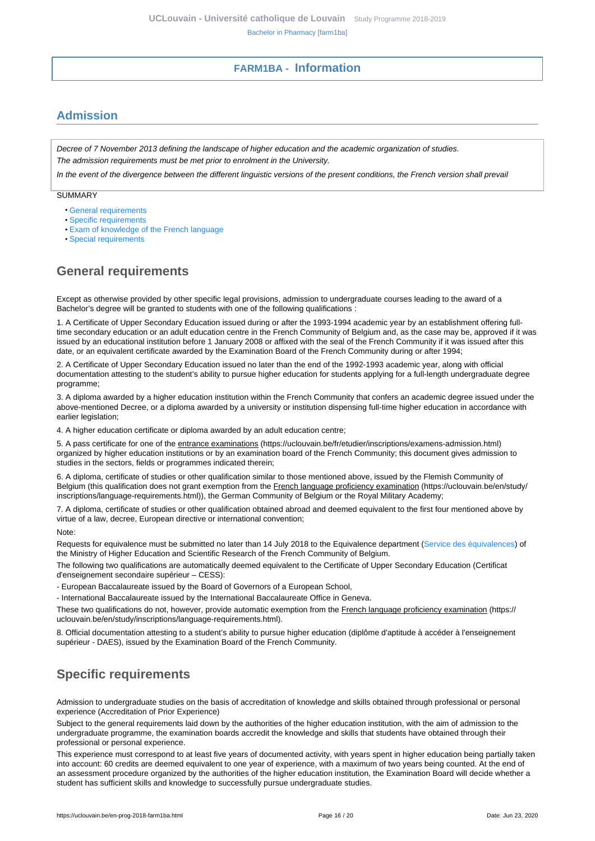# **FARM1BA - Information**

# <span id="page-15-1"></span><span id="page-15-0"></span>**Admission**

Decree of 7 November 2013 defining the landscape of higher education and the academic organization of studies. The admission requirements must be met prior to enrolment in the University.

In the event of the divergence between the different linguistic versions of the present conditions, the French version shall prevail

SUMMARY

- [General requirements](#page-15-2)
- [Specific requirements](#page-15-3)
- [Exam of knowledge of the French language](#page-16-0)
- [Special requirements](#page-16-1)

# <span id="page-15-2"></span>**General requirements**

Except as otherwise provided by other specific legal provisions, admission to undergraduate courses leading to the award of a Bachelor's degree will be granted to students with one of the following qualifications :

1. A Certificate of Upper Secondary Education issued during or after the 1993-1994 academic year by an establishment offering fulltime secondary education or an adult education centre in the French Community of Belgium and, as the case may be, approved if it was issued by an educational institution before 1 January 2008 or affixed with the seal of the French Community if it was issued after this date, or an equivalent certificate awarded by the Examination Board of the French Community during or after 1994;

2. A Certificate of Upper Secondary Education issued no later than the end of the 1992-1993 academic year, along with official documentation attesting to the student's ability to pursue higher education for students applying for a full-length undergraduate degree programme;

3. A diploma awarded by a higher education institution within the French Community that confers an academic degree issued under the above-mentioned Decree, or a diploma awarded by a university or institution dispensing full-time higher education in accordance with earlier legislation;

4. A higher education certificate or diploma awarded by an adult education centre;

5. A pass certificate for one of the entrance examinations (https://uclouvain.be/fr/etudier/inscriptions/examens-admission.html) organized by higher education institutions or by an examination board of the French Community; this document gives admission to studies in the sectors, fields or programmes indicated therein;

6. A diploma, certificate of studies or other qualification similar to those mentioned above, issued by the Flemish Community of Belgium (this qualification does not grant exemption from the French language proficiency examination (https://uclouvain.be/en/study/ inscriptions/language-requirements.html)), the German Community of Belgium or the Royal Military Academy;

7. A diploma, certificate of studies or other qualification obtained abroad and deemed equivalent to the first four mentioned above by virtue of a law, decree, European directive or international convention;

Note:

Requests for equivalence must be submitted no later than 14 July 2018 to the Equivalence department [\(Service des équivalences](http://www.equivalences.cfwb.be/)) of the Ministry of Higher Education and Scientific Research of the French Community of Belgium.

The following two qualifications are automatically deemed equivalent to the Certificate of Upper Secondary Education (Certificat d'enseignement secondaire supérieur – CESS):

- European Baccalaureate issued by the Board of Governors of a European School,

- International Baccalaureate issued by the International Baccalaureate Office in Geneva.

These two qualifications do not, however, provide automatic exemption from the French language proficiency examination (https:// uclouvain.be/en/study/inscriptions/language-requirements.html).

8. Official documentation attesting to a student's ability to pursue higher education (diplôme d'aptitude à accéder à l'enseignement supérieur - DAES), issued by the Examination Board of the French Community.

# <span id="page-15-3"></span>**Specific requirements**

Admission to undergraduate studies on the basis of accreditation of knowledge and skills obtained through professional or personal experience (Accreditation of Prior Experience)

Subject to the general requirements laid down by the authorities of the higher education institution, with the aim of admission to the undergraduate programme, the examination boards accredit the knowledge and skills that students have obtained through their professional or personal experience.

This experience must correspond to at least five years of documented activity, with years spent in higher education being partially taken into account: 60 credits are deemed equivalent to one year of experience, with a maximum of two years being counted. At the end of an assessment procedure organized by the authorities of the higher education institution, the Examination Board will decide whether a student has sufficient skills and knowledge to successfully pursue undergraduate studies.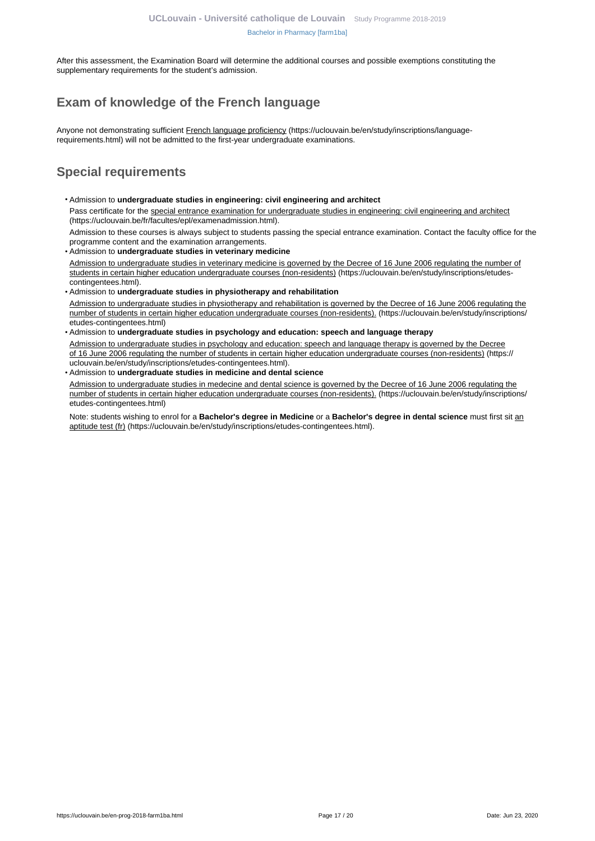After this assessment, the Examination Board will determine the additional courses and possible exemptions constituting the supplementary requirements for the student's admission.

# <span id="page-16-0"></span>**Exam of knowledge of the French language**

Anyone not demonstrating sufficient French language proficiency (https://uclouvain.be/en/study/inscriptions/languagerequirements.html) will not be admitted to the first-year undergraduate examinations.

# <span id="page-16-1"></span>**Special requirements**

- Admission to **undergraduate studies in engineering: civil engineering and architect** Pass certificate for the special entrance examination for undergraduate studies in engineering: civil engineering and architect (https://uclouvain.be/fr/facultes/epl/examenadmission.html). Admission to these courses is always subject to students passing the special entrance examination. Contact the faculty office for the
- programme content and the examination arrangements. • Admission to **undergraduate studies in veterinary medicine**  Admission to undergraduate studies in veterinary medicine is governed by the Decree of 16 June 2006 regulating the number of students in certain higher education undergraduate courses (non-residents) (https://uclouvain.be/en/study/inscriptions/etudescontingentees.html).
- Admission to **undergraduate studies in physiotherapy and rehabilitation** Admission to undergraduate studies in physiotherapy and rehabilitation is governed by the Decree of 16 June 2006 regulating the number of students in certain higher education undergraduate courses (non-residents). (https://uclouvain.be/en/study/inscriptions/ etudes-contingentees.html)
- Admission to **undergraduate studies in psychology and education: speech and language therapy** Admission to undergraduate studies in psychology and education: speech and language therapy is governed by the Decree of 16 June 2006 regulating the number of students in certain higher education undergraduate courses (non-residents) (https:// uclouvain.be/en/study/inscriptions/etudes-contingentees.html).
- Admission to **undergraduate studies in medicine and dental science**

Admission to undergraduate studies in medecine and dental science is governed by the Decree of 16 June 2006 regulating the number of students in certain higher education undergraduate courses (non-residents). (https://uclouvain.be/en/study/inscriptions/ etudes-contingentees.html)

Note: students wishing to enrol for a **Bachelor's degree in Medicine** or a **Bachelor's degree in dental science** must first sit an aptitude test (fr) (https://uclouvain.be/en/study/inscriptions/etudes-contingentees.html).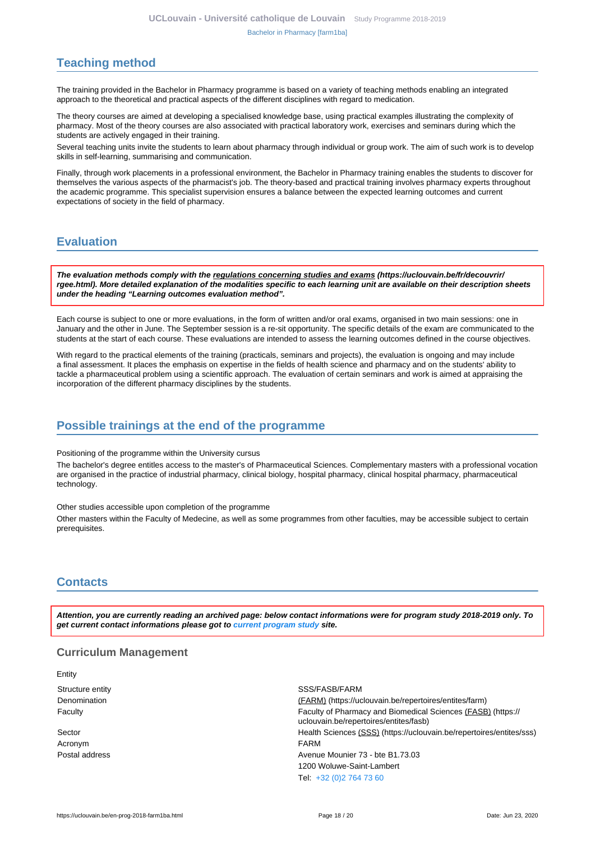# <span id="page-17-0"></span>**Teaching method**

The training provided in the Bachelor in Pharmacy programme is based on a variety of teaching methods enabling an integrated approach to the theoretical and practical aspects of the different disciplines with regard to medication.

The theory courses are aimed at developing a specialised knowledge base, using practical examples illustrating the complexity of pharmacy. Most of the theory courses are also associated with practical laboratory work, exercises and seminars during which the students are actively engaged in their training.

Several teaching units invite the students to learn about pharmacy through individual or group work. The aim of such work is to develop skills in self-learning, summarising and communication.

Finally, through work placements in a professional environment, the Bachelor in Pharmacy training enables the students to discover for themselves the various aspects of the pharmacist's job. The theory-based and practical training involves pharmacy experts throughout the academic programme. This specialist supervision ensures a balance between the expected learning outcomes and current expectations of society in the field of pharmacy.

# <span id="page-17-1"></span>**Evaluation**

**The evaluation methods comply with the regulations concerning studies and exams (https://uclouvain.be/fr/decouvrir/ rgee.html). More detailed explanation of the modalities specific to each learning unit are available on their description sheets under the heading "Learning outcomes evaluation method".**

Each course is subject to one or more evaluations, in the form of written and/or oral exams, organised in two main sessions: one in January and the other in June. The September session is a re-sit opportunity. The specific details of the exam are communicated to the students at the start of each course. These evaluations are intended to assess the learning outcomes defined in the course objectives.

With regard to the practical elements of the training (practicals, seminars and projects), the evaluation is ongoing and may include a final assessment. It places the emphasis on expertise in the fields of health science and pharmacy and on the students' ability to tackle a pharmaceutical problem using a scientific approach. The evaluation of certain seminars and work is aimed at appraising the incorporation of the different pharmacy disciplines by the students.

## <span id="page-17-2"></span>**Possible trainings at the end of the programme**

Positioning of the programme within the University cursus

The bachelor's degree entitles access to the master's of Pharmaceutical Sciences. Complementary masters with a professional vocation are organised in the practice of industrial pharmacy, clinical biology, hospital pharmacy, clinical hospital pharmacy, pharmaceutical technology.

Other studies accessible upon completion of the programme

Other masters within the Faculty of Medecine, as well as some programmes from other faculties, may be accessible subject to certain prerequisites.

# <span id="page-17-3"></span>**Contacts**

**Attention, you are currently reading an archived page: below contact informations were for program study 2018-2019 only. To get current contact informations please got to [current program study](https://uclouvain.be/fr/catalogue-formations) site.**

### **Curriculum Management**

| Entity           |                                                                                                        |
|------------------|--------------------------------------------------------------------------------------------------------|
| Structure entity | SSS/FASB/FARM                                                                                          |
| Denomination     | (FARM) (https://uclouvain.be/repertoires/entites/farm)                                                 |
| Faculty          | Faculty of Pharmacy and Biomedical Sciences (FASB) (https://<br>uclouvain.be/repertoires/entites/fasb) |
| Sector           | Health Sciences (SSS) (https://uclouvain.be/repertoires/entites/sss)                                   |
| Acronym          | <b>FARM</b>                                                                                            |
| Postal address   | Avenue Mounier 73 - bte B1.73.03                                                                       |
|                  | 1200 Woluwe-Saint-Lambert                                                                              |
|                  | Tel: +32 (0)2 764 73 60                                                                                |